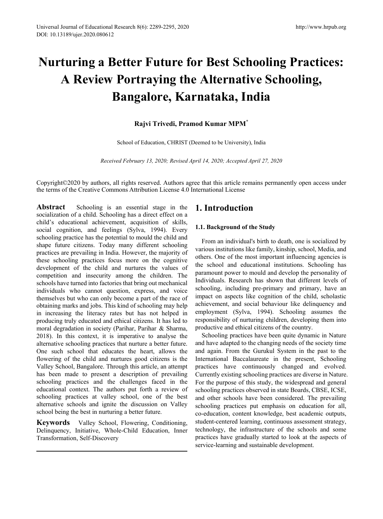# **Nurturing a Better Future for Best Schooling Practices: A Review Portraying the Alternative Schooling, Bangalore, Karnataka, India**

#### **Rajvi Trivedi, Pramod Kumar MPM\***

School of Education, CHRIST (Deemed to be University), India

*Received February 13, 2020; Revised April 14, 2020; Accepted April 27, 2020*

Copyright©2020 by authors, all rights reserved. Authors agree that this article remains permanently open access under the terms of the Creative Commons Attribution License 4.0 International License

**Abstract** Schooling is an essential stage in the socialization of a child. Schooling has a direct effect on a child's educational achievement, acquisition of skills, social cognition, and feelings (Sylva, 1994). Every schooling practice has the potential to mould the child and shape future citizens. Today many different schooling practices are prevailing in India. However, the majority of these schooling practices focus more on the cognitive development of the child and nurtures the values of competition and insecurity among the children. The schools have turned into factories that bring out mechanical individuals who cannot question, express, and voice themselves but who can only become a part of the race of obtaining marks and jobs. This kind of schooling may help in increasing the literacy rates but has not helped in producing truly educated and ethical citizens. It has led to moral degradation in society (Parihar, Parihar & Sharma, 2018). In this context, it is imperative to analyse the alternative schooling practices that nurture a better future. One such school that educates the heart, allows the flowering of the child and nurtures good citizens is the Valley School, Bangalore. Through this article, an attempt has been made to present a description of prevailing schooling practices and the challenges faced in the educational context. The authors put forth a review of schooling practices at valley school, one of the best alternative schools and ignite the discussion on Valley school being the best in nurturing a better future.

**Keywords** Valley School, Flowering, Conditioning, Delinquency, Initiative, Whole-Child Education, Inner Transformation, Self-Discovery

## **1. Introduction**

#### **1.1. Background of the Study**

From an individual's birth to death, one is socialized by various institutions like family, kinship, school, Media, and others. One of the most important influencing agencies is the school and educational institutions. Schooling has paramount power to mould and develop the personality of Individuals. Research has shown that different levels of schooling, including pre-primary and primary, have an impact on aspects like cognition of the child, scholastic achievement, and social behaviour like delinquency and employment (Sylva, 1994). Schooling assumes the responsibility of nurturing children, developing them into productive and ethical citizens of the country.

Schooling practices have been quite dynamic in Nature and have adapted to the changing needs of the society time and again. From the Gurukul System in the past to the International Baccalaureate in the present, Schooling practices have continuously changed and evolved. Currently existing schooling practices are diverse in Nature. For the purpose of this study, the widespread and general schooling practices observed in state Boards, CBSE, ICSE, and other schools have been considered. The prevailing schooling practices put emphasis on education for all, co-education, content knowledge, best academic outputs, student-centered learning, continuous assessment strategy, technology, the infrastructure of the schools and some practices have gradually started to look at the aspects of service-learning and sustainable development.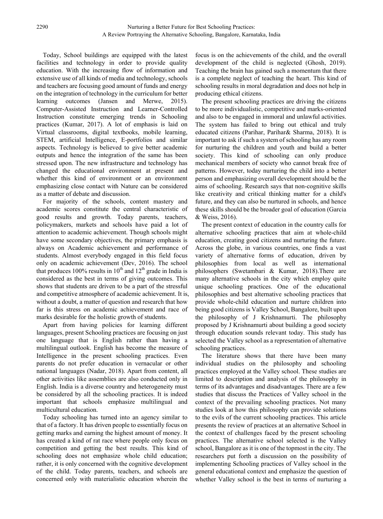Today, School buildings are equipped with the latest facilities and technology in order to provide quality education. With the increasing flow of information and extensive use of all kinds of media and technology, schools and teachers are focusing good amount of funds and energy on the integration of technology in the curriculum for better learning outcomes (Jansen and Merwe, 2015). Computer-Assisted Instruction and Learner-Controlled Instruction constitute emerging trends in Schooling practices (Kumar, 2017). A lot of emphasis is laid on Virtual classrooms, digital textbooks, mobile learning, STEM, artificial Intelligence, E-portfolios and similar aspects. Technology is believed to give better academic outputs and hence the integration of the same has been stressed upon. The new infrastructure and technology has changed the educational environment at present and whether this kind of environment or an environment emphasizing close contact with Nature can be considered as a matter of debate and discussion.

For majority of the schools, content mastery and academic scores constitute the central characteristic of good results and growth. Today parents, teachers, policymakers, markets and schools have paid a lot of attention to academic achievement. Though schools might have some secondary objectives, the primary emphasis is always on Academic achievement and performance of students. Almost everybody engaged in this field focus only on academic achievement (Dev, 2016). The school that produces 100% results in 10<sup>th</sup> and 12<sup>th</sup> grade in India is considered as the best in terms of giving outcomes. This shows that students are driven to be a part of the stressful and competitive atmosphere of academic achievement. It is, without a doubt, a matter of question and research that how far is this stress on academic achievement and race of marks desirable for the holistic growth of students.

Apart from having policies for learning different languages, present Schooling practices are focusing on just one language that is English rather than having a multilingual outlook. English has become the measure of Intelligence in the present schooling practices. Even parents do not prefer education in vernacular or other national languages (Nadar, 2018). Apart from content, all other activities like assemblies are also conducted only in English. India is a diverse country and heterogeneity must be considered by all the schooling practices. It is indeed important that schools emphasize multilingual and multicultural education.

Today schooling has turned into an agency similar to that of a factory. It has driven people to essentially focus on getting marks and earning the highest amount of money. It has created a kind of rat race where people only focus on competition and getting the best results. This kind of schooling does not emphasize whole child education; rather, it is only concerned with the cognitive development of the child. Today parents, teachers, and schools are concerned only with materialistic education wherein the

focus is on the achievements of the child, and the overall development of the child is neglected (Ghosh, 2019). Teaching the brain has gained such a momentum that there is a complete neglect of teaching the heart. This kind of schooling results in moral degradation and does not help in producing ethical citizens.

The present schooling practices are driving the citizens to be more individualistic, competitive and marks-oriented and also to be engaged in immoral and unlawful activities. The system has failed to bring out ethical and truly educated citizens (Parihar, Parihar& Sharma, 2018). It is important to ask if such a system of schooling has any room for nurturing the children and youth and build a better society. This kind of schooling can only produce mechanical members of society who cannot break free of patterns. However, today nurturing the child into a better person and emphasizing overall development should be the aims of schooling. Research says that non-cognitive skills like creativity and critical thinking matter for a child's future, and they can also be nurtured in schools, and hence these skills should be the broader goal of education (Garcia & Weiss, 2016).

The present context of education in the country calls for alternative schooling practices that aim at whole-child education, creating good citizens and nurturing the future. Across the globe, in various countries, one finds a vast variety of alternative forms of education, driven by philosophies from local as well as international philosophers (Swetambari & Kumar, 2018).There are many alternative schools in the city which employ quite unique schooling practices. One of the educational philosophies and best alternative schooling practices that provide whole-child education and nurture children into being good citizens is Valley School, Bangalore, built upon the philosophy of J Krishnamurti. The philosophy proposed by J Krishnamurti about building a good society through education sounds relevant today. This study has selected the Valley school as a representation of alternative schooling practices.

The literature shows that there have been many individual studies on the philosophy and schooling practices employed at the Valley school. These studies are limited to description and analysis of the philosophy in terms of its advantages and disadvantages. There are a few studies that discuss the Practices of Valley school in the context of the prevailing schooling practices. Not many studies look at how this philosophy can provide solutions to the evils of the current schooling practices. This article presents the review of practices at an alternative School in the context of challenges faced by the present schooling practices. The alternative school selected is the Valley school, Bangalore as it is one of the topmost in the city. The researchers put forth a discussion on the possibility of implementing Schooling practices of Valley school in the general educational context and emphasize the question of whether Valley school is the best in terms of nurturing a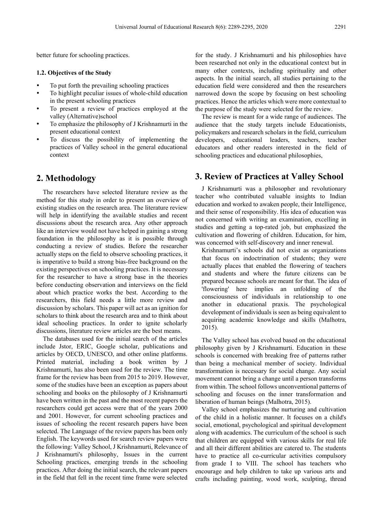better future for schooling practices.

#### **1.2. Objectives of the Study**

- To put forth the prevailing schooling practices
- To highlight peculiar issues of whole-child education in the present schooling practices
- To present a review of practices employed at the valley (Alternative)school
- To emphasize the philosophy of J Krishnamurti in the present educational context
- To discuss the possibility of implementing the practices of Valley school in the general educational context

### **2. Methodology**

The researchers have selected literature review as the method for this study in order to present an overview of existing studies on the research area. The literature review will help in identifying the available studies and recent discussions about the research area. Any other approach like an interview would not have helped in gaining a strong foundation in the philosophy as it is possible through conducting a review of studies. Before the researcher actually steps on the field to observe schooling practices, it is imperative to build a strong bias-free background on the existing perspectives on schooling practices. It is necessary for the researcher to have a strong base in the theories before conducting observation and interviews on the field about which practice works the best. According to the researchers, this field needs a little more review and discussion by scholars. This paper will act as an ignition for scholars to think about the research area and to think about ideal schooling practices. In order to ignite scholarly discussions, literature review articles are the best means.

The databases used for the initial search of the articles include Jstor, ERIC, Google scholar, publications and articles by OECD, UNESCO, and other online platforms. Printed material, including a book written by J Krishnamurti, has also been used for the review. The time frame for the review has been from 2015 to 2019. However, some of the studies have been an exception as papers about schooling and books on the philosophy of J Krishnamurti have been written in the past and the most recent papers the researchers could get access were that of the years 2000 and 2001. However, for current schooling practices and issues of schooling the recent research papers have been selected. The Language of the review papers has been only English. The keywords used for search review papers were the following: Valley School, J Krishnamurti, Relevance of J Krishnamurti's philosophy, Issues in the current Schooling practices, emerging trends in the schooling practices. After doing the initial search, the relevant papers in the field that fell in the recent time frame were selected

for the study. J Krishnamurti and his philosophies have been researched not only in the educational context but in many other contexts, including spirituality and other aspects. In the initial search, all studies pertaining to the education field were considered and then the researchers narrowed down the scope by focusing on best schooling practices. Hence the articles which were more contextual to the purpose of the study were selected for the review.

The review is meant for a wide range of audiences. The audience that the study targets include Educationists, policymakers and research scholars in the field, curriculum developers, educational leaders, teachers, teacher educators and other readers interested in the field of schooling practices and educational philosophies,

### **3. Review of Practices at Valley School**

J Krishnamurti was a philosopher and revolutionary teacher who contributed valuable insights to Indian education and worked to awaken people, their Intelligence, and their sense of responsibility. His idea of education was not concerned with writing an examination, excelling in studies and getting a top-rated job, but emphasized the cultivation and flowering of children. Education, for him, was concerned with self-discovery and inner renewal.

Krishnamurti's schools did not exist as organizations that focus on indoctrination of students; they were actually places that enabled the flowering of teachers and students and where the future citizens can be prepared because schools are meant for that. The idea of 'flowering' here implies an unfolding of the consciousness of individuals in relationship to one another in educational praxis. The psychological development of individuals is seen as being equivalent to acquiring academic knowledge and skills (Malhotra, 2015).

The Valley school has evolved based on the educational philosophy given by J Krishnamurti. Education in these schools is concerned with breaking free of patterns rather than being a mechanical member of society. Individual transformation is necessary for social change. Any social movement cannot bring a change until a person transforms from within. The school follows unconventional patterns of schooling and focuses on the inner transformation and liberation of human beings (Malhotra, 2015).

Valley school emphasizes the nurturing and cultivation of the child in a holistic manner. It focuses on a child's social, emotional, psychological and spiritual development along with academics. The curriculum of the school is such that children are equipped with various skills for real life and all their different abilities are catered to. The students have to practice all co-curricular activities compulsory from grade I to VIII. The school has teachers who encourage and help children to take up various arts and crafts including painting, wood work, sculpting, thread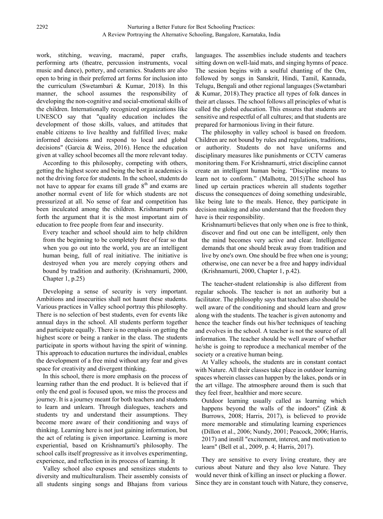work, stitching, weaving, macramé, paper crafts, performing arts (theatre, percussion instruments, vocal music and dance), pottery, and ceramics. Students are also open to bring in their preferred art forms for inclusion into the curriculum (Swetambari & Kumar, 2018). In this manner, the school assumes the responsibility of developing the non-cognitive and social-emotional skills of the children. Internationally recognized organizations like UNESCO say that "quality education includes the development of those skills, values, and attitudes that enable citizens to live healthy and fulfilled lives; make informed decisions and respond to local and global decisions" (Garcia & Weiss, 2016). Hence the education given at valley school becomes all the more relevant today.

According to this philosophy, competing with others, getting the highest score and being the best in academics is not the driving force for students. In the school, students do not have to appear for exams till grade  $8<sup>th</sup>$  and exams are another normal event of life for which students are not pressurized at all. No sense of fear and competition has been inculcated among the children. Krishnamurti puts forth the argument that it is the most important aim of education to free people from fear and insecurity.

Every teacher and school should aim to help children from the beginning to be completely free of fear so that when you go out into the world, you are an intelligent human being, full of real initiative. The initiative is destroyed when you are merely copying others and bound by tradition and authority. (Krishnamurti, 2000, Chapter 1, p.25)

Developing a sense of security is very important. Ambitions and insecurities shall not haunt these students. Various practices in Valley school portray this philosophy. There is no selection of best students, even for events like annual days in the school. All students perform together and participate equally. There is no emphasis on getting the highest score or being a ranker in the class. The students participate in sports without having the spirit of winning. This approach to education nurtures the individual, enables the development of a free mind without any fear and gives space for creativity and divergent thinking.

In this school, there is more emphasis on the process of learning rather than the end product. It is believed that if only the end goal is focused upon, we miss the process and journey. It is a journey meant for both teachers and students to learn and unlearn. Through dialogues, teachers and students try and understand their assumptions. They become more aware of their conditioning and ways of thinking. Learning here is not just gaining information, but the act of relating is given importance. Learning is more experiential, based on Krishnamurti's philosophy. The school calls itself progressive as it involves experimenting, experience, and reflection in its process of learning. It

Valley school also exposes and sensitizes students to diversity and multiculturalism. Their assembly consists of all students singing songs and Bhajans from various

languages. The assemblies include students and teachers sitting down on well-laid mats, and singing hymns of peace. The session begins with a soulful chanting of the Om, followed by songs in Sanskrit, Hindi, Tamil, Kannada, Telugu, Bengali and other regional languages (Swetambari & Kumar, 2018).They practice all types of folk dances in their art classes. The school follows all principles of what is called the global education. This ensures that students are sensitive and respectful of all cultures; and that students are prepared for harmonious living in their future.

The philosophy in valley school is based on freedom. Children are not bound by rules and regulations, traditions, or authority. Students do not have uniforms and disciplinary measures like punishments or CCTV cameras monitoring them. For Krishnamurti, strict discipline cannot create an intelligent human being. "Discipline means to learn not to conform." (Malhotra, 2015)The school has lined up certain practices wherein all students together discuss the consequences of doing something undesirable, like being late to the meals. Hence, they participate in decision making and also understand that the freedom they have is their responsibility.

Krishnamurti believes that only when one is free to think, discover and find out one can be intelligent, only then the mind becomes very active and clear. Intelligence demands that one should break away from tradition and live by one's own. One should be free when one is young; otherwise, one can never be a free and happy individual (Krishnamurti, 2000, Chapter 1, p.42).

The teacher-student relationship is also different from regular schools. The teacher is not an authority but a facilitator. The philosophy says that teachers also should be well aware of the conditioning and should learn and grow along with the students. The teacher is given autonomy and hence the teacher finds out his/her techniques of teaching and evolves in the school. A teacher is not the source of all information. The teacher should be well aware of whether he/she is going to reproduce a mechanical member of the society or a creative human being.

At Valley schools, the students are in constant contact with Nature. All their classes take place in outdoor learning spaces wherein classes can happen by the lakes, ponds or in the art village. The atmosphere around them is such that they feel freer, healthier and more secure.

Outdoor learning usually called as learning which happens beyond the walls of the indoors" (Zink & Burrows, 2008; Harris, 2017), is believed to provide more memorable and stimulating learning experiences (Dillon et al., 2006; Nundy, 2001; Peacock, 2006; Harris, 2017) and instill "excitement, interest, and motivation to learn" (Bell et al., 2009, p. 4; Harris, 2017).

They are sensitive to every living creature, they are curious about Nature and they also love Nature. They would never think of killing an insect or plucking a flower. Since they are in constant touch with Nature, they conserve,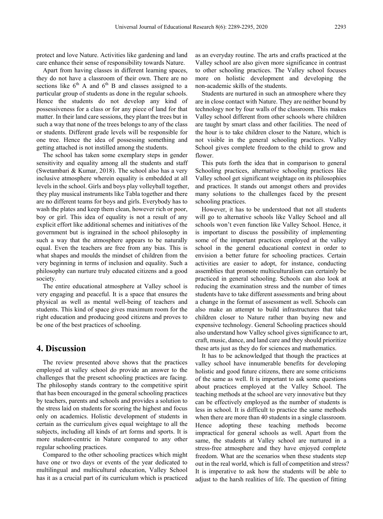protect and love Nature. Activities like gardening and land care enhance their sense of responsibility towards Nature.

Apart from having classes in different learning spaces, they do not have a classroom of their own. There are no sections like  $6<sup>th</sup>$  A and  $6<sup>th</sup>$  B and classes assigned to a particular group of students as done in the regular schools. Hence the students do not develop any kind of possessiveness for a class or for any piece of land for that matter. In their land care sessions, they plant the trees but in such a way that none of the trees belongs to any of the class or students. Different grade levels will be responsible for one tree. Hence the idea of possessing something and getting attached is not instilled among the students.

The school has taken some exemplary steps in gender sensitivity and equality among all the students and staff (Swetambari & Kumar, 2018). The school also has a very inclusive atmosphere wherein equality is embedded at all levels in the school. Girls and boys play volleyball together, they play musical instruments like Tabla together and there are no different teams for boys and girls. Everybody has to wash the plates and keep them clean, however rich or poor, boy or girl. This idea of equality is not a result of any explicit effort like additional schemes and initiatives of the government but is ingrained in the school philosophy in such a way that the atmosphere appears to be naturally equal. Even the teachers are free from any bias. This is what shapes and moulds the mindset of children from the very beginning in terms of inclusion and equality. Such a philosophy can nurture truly educated citizens and a good society.

The entire educational atmosphere at Valley school is very engaging and peaceful. It is a space that ensures the physical as well as mental well-being of teachers and students. This kind of space gives maximum room for the right education and producing good citizens and proves to be one of the best practices of schooling.

#### **4. Discussion**

The review presented above shows that the practices employed at valley school do provide an answer to the challenges that the present schooling practices are facing. The philosophy stands contrary to the competitive spirit that has been encouraged in the general schooling practices by teachers, parents and schools and provides a solution to the stress laid on students for scoring the highest and focus only on academics. Holistic development of students in certain as the curriculum gives equal weightage to all the subjects, including all kinds of art forms and sports. It is more student-centric in Nature compared to any other regular schooling practices.

Compared to the other schooling practices which might have one or two days or events of the year dedicated to multilingual and multicultural education, Valley School has it as a crucial part of its curriculum which is practiced

as an everyday routine. The arts and crafts practiced at the Valley school are also given more significance in contrast to other schooling practices. The Valley school focuses more on holistic development and developing the non-academic skills of the students.

Students are nurtured in such an atmosphere where they are in close contact with Nature. They are neither bound by technology nor by four walls of the classroom. This makes Valley school different from other schools where children are taught by smart class and other facilities. The need of the hour is to take children closer to the Nature, which is not visible in the general schooling practices. Valley School gives complete freedom to the child to grow and flower.

This puts forth the idea that in comparison to general Schooling practices, alternative schooling practices like Valley school get significant weightage on its philosophies and practices. It stands out amongst others and provides many solutions to the challenges faced by the present schooling practices.

However, it has to be understood that not all students will go to alternative schools like Valley School and all schools won't even function like Valley School. Hence, it is important to discuss the possibility of implementing some of the important practices employed at the valley school in the general educational context in order to envision a better future for schooling practices. Certain activities are easier to adopt, for instance, conducting assemblies that promote multiculturalism can certainly be practiced in general schooling. Schools can also look at reducing the examination stress and the number of times students have to take different assessments and bring about a change in the format of assessment as well. Schools can also make an attempt to build infrastructures that take children closer to Nature rather than buying new and expensive technology. General Schooling practices should also understand how Valley school gives significance to art, craft, music, dance, and land care and they should prioritize these arts just as they do for sciences and mathematics.

It has to be acknowledged that though the practices at valley school have innumerable benefits for developing holistic and good future citizens, there are some criticisms of the same as well. It is important to ask some questions about practices employed at the Valley School. The teaching methods at the school are very innovative but they can be effectively employed as the number of students is less in school. It is difficult to practice the same methods when there are more than 40 students in a single classroom. Hence adopting these teaching methods become impractical for general schools as well. Apart from the same, the students at Valley school are nurtured in a stress-free atmosphere and they have enjoyed complete freedom. What are the scenarios when these students step out in the real world, which is full of competition and stress? It is imperative to ask how the students will be able to adjust to the harsh realities of life. The question of fitting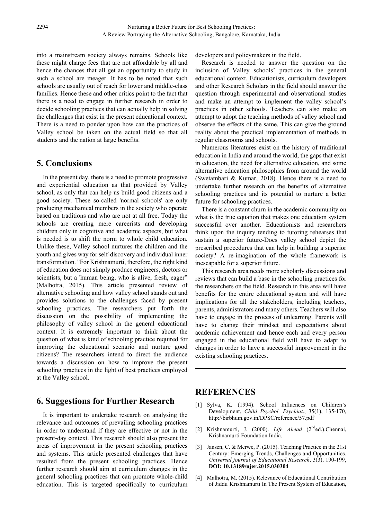into a mainstream society always remains. Schools like these might charge fees that are not affordable by all and hence the chances that all get an opportunity to study in such a school are meager. It has to be noted that such schools are usually out of reach for lower and middle-class families. Hence these and other critics point to the fact that there is a need to engage in further research in order to decide schooling practices that can actually help in solving the challenges that exist in the present educational context. There is a need to ponder upon how can the practices of Valley school be taken on the actual field so that all students and the nation at large benefits.

# **5. Conclusions**

In the present day, there is a need to promote progressive and experiential education as that provided by Valley school, as only that can help us build good citizens and a good society. These so-called 'normal schools' are only producing mechanical members in the society who operate based on traditions and who are not at all free. Today the schools are creating mere careerists and developing children only in cognitive and academic aspects, but what is needed is to shift the norm to whole child education. Unlike these, Valley school nurtures the children and the youth and gives way for self-discovery and individual inner transformation. "For Krishnamurti, therefore, the right kind of education does not simply produce engineers, doctors or scientists, but a 'human being, who is alive, fresh, eager" (Malhotra, 2015). This article presented review of alternative schooling and how valley school stands out and provides solutions to the challenges faced by present schooling practices. The researchers put forth the discussion on the possibility of implementing the philosophy of valley school in the general educational context. It is extremely important to think about the question of what is kind of schooling practice required for improving the educational scenario and nurture good citizens? The researchers intend to direct the audience towards a discussion on how to improve the present schooling practices in the light of best practices employed at the Valley school.

# **6. Suggestions for Further Research**

It is important to undertake research on analysing the relevance and outcomes of prevailing schooling practices in order to understand if they are effective or not in the present-day context. This research should also present the areas of improvement in the present schooling practices and systems. This article presented challenges that have resulted from the present schooling practices. Hence further research should aim at curriculum changes in the general schooling practices that can promote whole-child education. This is targeted specifically to curriculum

developers and policymakers in the field.

Research is needed to answer the question on the inclusion of Valley schools' practices in the general educational context. Educationists, curriculum developers and other Research Scholars in the field should answer the question through experimental and observational studies and make an attempt to implement the valley school's practices in other schools. Teachers can also make an attempt to adopt the teaching methods of valley school and observe the effects of the same. This can give the ground reality about the practical implementation of methods in regular classrooms and schools.

Numerous literatures exist on the history of traditional education in India and around the world, the gaps that exist in education, the need for alternative education, and some alternative education philosophies from around the world (Swetambari & Kumar, 2018). Hence there is a need to undertake further research on the benefits of alternative schooling practices and its potential to nurture a better future for schooling practices.

There is a constant churn in the academic community on what is the true equation that makes one education system successful over another. Educationists and researchers think upon the inquiry tending to tutoring rehearses that sustain a superior future-Does valley school depict the prescribed procedures that can help in building a superior society? A re-imagination of the whole framework is inescapable for a superior future.

This research area needs more scholarly discussions and reviews that can build a base in the schooling practices for the researchers on the field. Research in this area will have benefits for the entire educational system and will have implications for all the stakeholders, including teachers, parents, administrators and many others. Teachers will also have to engage in the process of unlearning. Parents will have to change their mindset and expectations about academic achievement and hence each and every person engaged in the educational field will have to adapt to changes in order to have a successful improvement in the existing schooling practices.

## **REFERENCES**

- [1] Sylva, K. (1994). School Influences on Children's Development, *Child Psychol. Psychiat*., 35(1), 135-170, <http://birbhum.gov.in/DPSC/reference/57.pdf>
- [2] Krishnamurti, J. (2000). *Life Ahead* (2nded.).Chennai, Krishnamurti Foundation India.
- [3] Jansen, C. & Merwe, P. (2015). Teaching Practice in the 21st Century: Emerging Trends, Challenges and Opportunities*. Universal journal of Educational Research*, 3(3), 190-199, **DOI: 10.13189/ujer.2015.030304**
- [4] Malhotra, M. (2015). Relevance of Educational Contribution of Jiddu Krishnamurti In The Present System of Education,